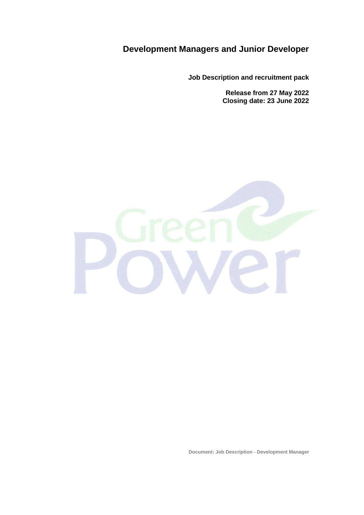# **Development Managers and Junior Developer**

**Job Description and recruitment pack**

**Release from 27 May 2022 Closing date: 23 June 2022**



**Document: Job Description - Development Manager**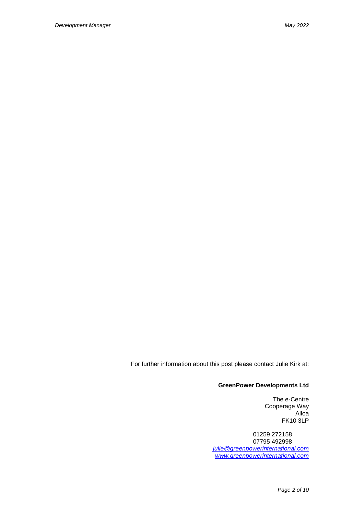For further information about this post please contact Julie Kirk at:

#### **GreenPower Developments Ltd**

The e-Centre Cooperage Way Alloa FK10 3LP

01259 272158 07795 492998 *[julie@greenpowerinternational.com](mailto:julie@greenpowerinternational.com) [www.greenpowerinternational.com](http://www.greenpowerinternational.com/)*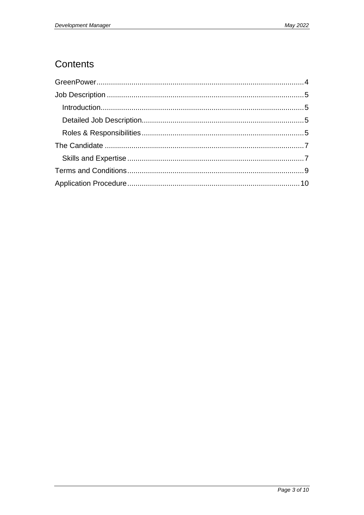# Contents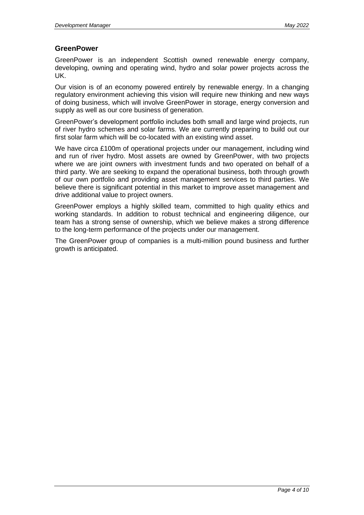## <span id="page-3-0"></span>**GreenPower**

GreenPower is an independent Scottish owned renewable energy company, developing, owning and operating wind, hydro and solar power projects across the UK.

Our vision is of an economy powered entirely by renewable energy. In a changing regulatory environment achieving this vision will require new thinking and new ways of doing business, which will involve GreenPower in storage, energy conversion and supply as well as our core business of generation.

GreenPower's development portfolio includes both small and large wind projects, run of river hydro schemes and solar farms. We are currently preparing to build out our first solar farm which will be co-located with an existing wind asset.

We have circa £100m of operational projects under our management, including wind and run of river hydro. Most assets are owned by GreenPower, with two projects where we are joint owners with investment funds and two operated on behalf of a third party. We are seeking to expand the operational business, both through growth of our own portfolio and providing asset management services to third parties. We believe there is significant potential in this market to improve asset management and drive additional value to project owners.

GreenPower employs a highly skilled team, committed to high quality ethics and working standards. In addition to robust technical and engineering diligence, our team has a strong sense of ownership, which we believe makes a strong difference to the long-term performance of the projects under our management.

The GreenPower group of companies is a multi-million pound business and further growth is anticipated.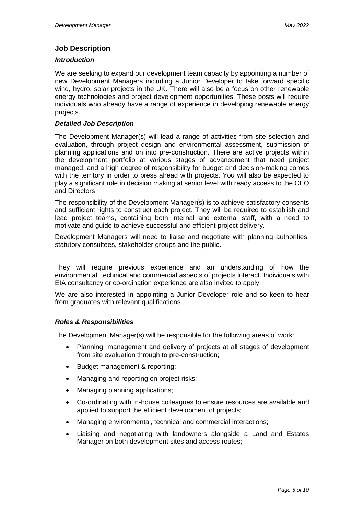## <span id="page-4-0"></span>**Job Description**

#### <span id="page-4-1"></span>*Introduction*

We are seeking to expand our development team capacity by appointing a number of new Development Managers including a Junior Developer to take forward specific wind, hydro, solar projects in the UK. There will also be a focus on other renewable energy technologies and project development opportunities. These posts will require individuals who already have a range of experience in developing renewable energy projects.

#### <span id="page-4-2"></span>*Detailed Job Description*

The Development Manager(s) will lead a range of activities from site selection and evaluation, through project design and environmental assessment, submission of planning applications and on into pre-construction. There are active projects within the development portfolio at various stages of advancement that need project managed, and a high degree of responsibility for budget and decision-making comes with the territory in order to press ahead with projects. You will also be expected to play a significant role in decision making at senior level with ready access to the CEO and Directors

The responsibility of the Development Manager(s) is to achieve satisfactory consents and sufficient rights to construct each project. They will be required to establish and lead project teams, containing both internal and external staff, with a need to motivate and guide to achieve successful and efficient project delivery.

Development Managers will need to liaise and negotiate with planning authorities, statutory consultees, stakeholder groups and the public.

They will require previous experience and an understanding of how the environmental, technical and commercial aspects of projects interact. Individuals with EIA consultancy or co-ordination experience are also invited to apply.

We are also interested in appointing a Junior Developer role and so keen to hear from graduates with relevant qualifications.

#### <span id="page-4-3"></span>*Roles & Responsibilities*

The Development Manager(s) will be responsible for the following areas of work:

- Planning. management and delivery of projects at all stages of development from site evaluation through to pre-construction;
- Budget management & reporting;
- Managing and reporting on project risks:
- Managing planning applications;
- Co-ordinating with in-house colleagues to ensure resources are available and applied to support the efficient development of projects;
- Managing environmental, technical and commercial interactions;
- Liaising and negotiating with landowners alongside a Land and Estates Manager on both development sites and access routes;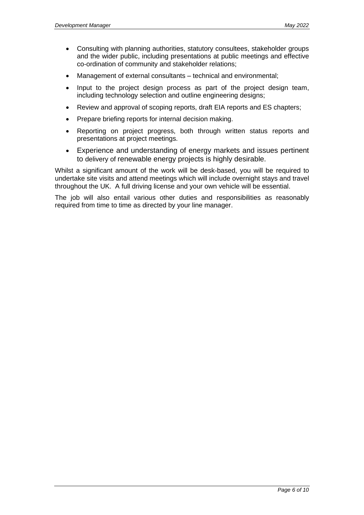- Consulting with planning authorities, statutory consultees, stakeholder groups and the wider public, including presentations at public meetings and effective co-ordination of community and stakeholder relations;
- Management of external consultants technical and environmental;
- Input to the project design process as part of the project design team, including technology selection and outline engineering designs;
- Review and approval of scoping reports, draft EIA reports and ES chapters;
- Prepare briefing reports for internal decision making.
- Reporting on project progress, both through written status reports and presentations at project meetings.
- Experience and understanding of energy markets and issues pertinent to delivery of renewable energy projects is highly desirable.

Whilst a significant amount of the work will be desk-based, you will be required to undertake site visits and attend meetings which will include overnight stays and travel throughout the UK. A full driving license and your own vehicle will be essential.

The job will also entail various other duties and responsibilities as reasonably required from time to time as directed by your line manager.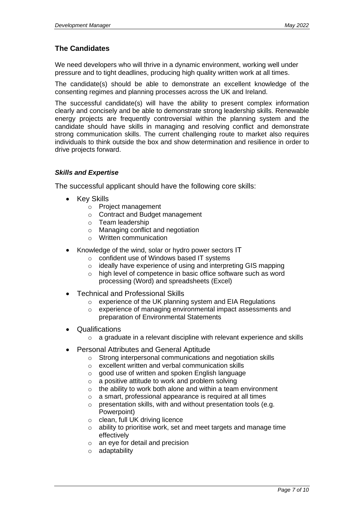# <span id="page-6-0"></span>**The Candidates**

We need developers who will thrive in a dynamic environment, working well under pressure and to tight deadlines, producing high quality written work at all times.

The candidate(s) should be able to demonstrate an excellent knowledge of the consenting regimes and planning processes across the UK and Ireland.

The successful candidate(s) will have the ability to present complex information clearly and concisely and be able to demonstrate strong leadership skills. Renewable energy projects are frequently controversial within the planning system and the candidate should have skills in managing and resolving conflict and demonstrate strong communication skills. The current challenging route to market also requires individuals to think outside the box and show determination and resilience in order to drive projects forward.

### <span id="page-6-1"></span>*Skills and Expertise*

The successful applicant should have the following core skills:

- Key Skills
	- o Project management
	- o Contract and Budget management
	- o Team leadership
	- o Managing conflict and negotiation
	- o Written communication
- Knowledge of the wind, solar or hydro power sectors IT
	- o confident use of Windows based IT systems
	- o ideally have experience of using and interpreting GIS mapping
	- o high level of competence in basic office software such as word processing (Word) and spreadsheets (Excel)
- Technical and Professional Skills
	- o experience of the UK planning system and EIA Regulations
	- o experience of managing environmental impact assessments and preparation of Environmental Statements
- **Qualifications** 
	- o a graduate in a relevant discipline with relevant experience and skills
- Personal Attributes and General Aptitude
	- o Strong interpersonal communications and negotiation skills
	- o excellent written and verbal communication skills
	- o good use of written and spoken English language
	- o a positive attitude to work and problem solving
	- $\circ$  the ability to work both alone and within a team environment
	- o a smart, professional appearance is required at all times
	- o presentation skills, with and without presentation tools (e.g. Powerpoint)
	- o clean, full UK driving licence
	- o ability to prioritise work, set and meet targets and manage time effectively
	- o an eye for detail and precision
	- o adaptability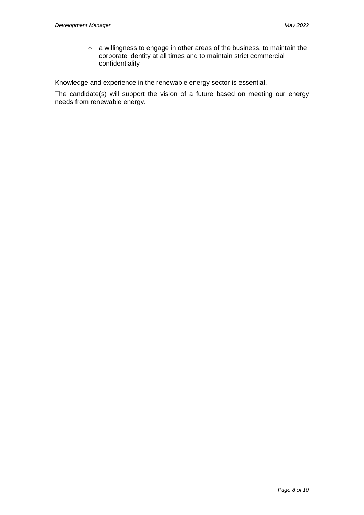o a willingness to engage in other areas of the business, to maintain the corporate identity at all times and to maintain strict commercial confidentiality

Knowledge and experience in the renewable energy sector is essential.

The candidate(s) will support the vision of a future based on meeting our energy needs from renewable energy.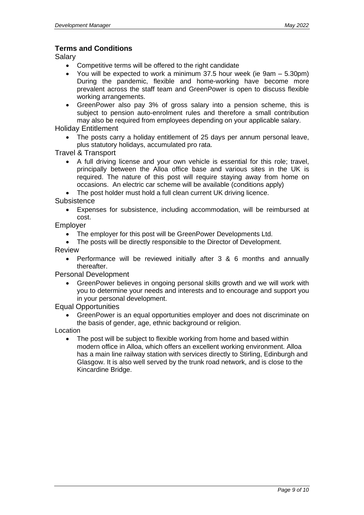## <span id="page-8-0"></span>**Terms and Conditions**

Salary

- Competitive terms will be offered to the right candidate
- You will be expected to work a minimum 37.5 hour week (ie 9am 5.30pm) During the pandemic, flexible and home-working have become more prevalent across the staff team and GreenPower is open to discuss flexible working arrangements.
- GreenPower also pay 3% of gross salary into a pension scheme, this is subject to pension auto-enrolment rules and therefore a small contribution may also be required from employees depending on your applicable salary.

Holiday Entitlement

The posts carry a holiday entitlement of 25 days per annum personal leave, plus statutory holidays, accumulated pro rata.

Travel & Transport

• A full driving license and your own vehicle is essential for this role; travel, principally between the Alloa office base and various sites in the UK is required. The nature of this post will require staying away from home on occasions. An electric car scheme will be available (conditions apply)

The post holder must hold a full clean current UK driving licence.

**Subsistence** 

• Expenses for subsistence, including accommodation, will be reimbursed at cost.

Employer

- The employer for this post will be GreenPower Developments Ltd.
- The posts will be directly responsible to the Director of Development.

Review

• Performance will be reviewed initially after 3 & 6 months and annually thereafter.

Personal Development

• GreenPower believes in ongoing personal skills growth and we will work with you to determine your needs and interests and to encourage and support you in your personal development.

Equal Opportunities

• GreenPower is an equal opportunities employer and does not discriminate on the basis of gender, age, ethnic background or religion.

Location

• The post will be subject to flexible working from home and based within modern office in Alloa, which offers an excellent working environment. Alloa has a main line railway station with services directly to Stirling, Edinburgh and Glasgow. It is also well served by the trunk road network, and is close to the Kincardine Bridge.